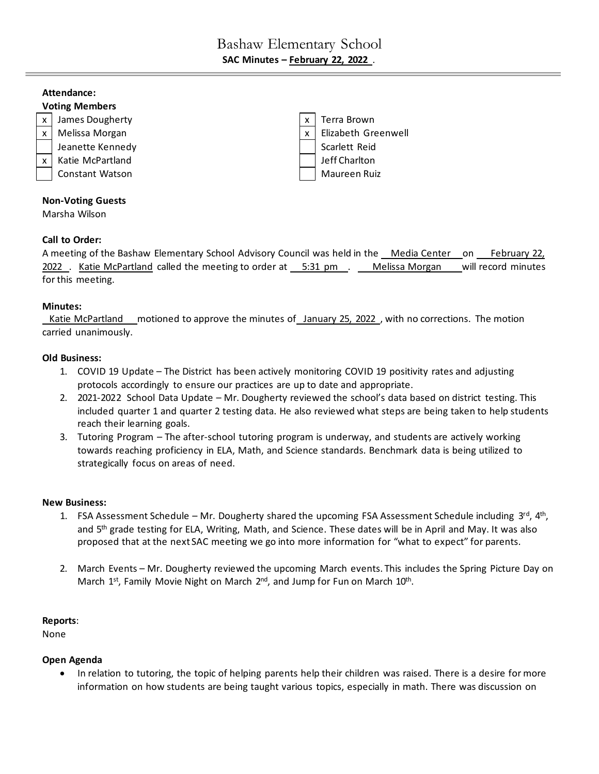# Bashaw Elementary School **SAC Minutes – February 22, 2022** .

## **Attendance:**



## Marsha Wilson

## **Call to Order:**

A meeting of the Bashaw Elementary School Advisory Council was held in the Media Center on February 22, 2022 . Katie McPartland called the meeting to order at 5:31 pm . Melissa Morgan will record minutes for this meeting.

#### **Minutes:**

Katie McPartland motioned to approve the minutes of January 25, 2022, with no corrections. The motion carried unanimously.

#### **Old Business:**

- 1. COVID 19 Update The District has been actively monitoring COVID 19 positivity rates and adjusting protocols accordingly to ensure our practices are up to date and appropriate.
- 2. 2021-2022 School Data Update Mr. Dougherty reviewed the school's data based on district testing. This included quarter 1 and quarter 2 testing data. He also reviewed what steps are being taken to help students reach their learning goals.
- 3. Tutoring Program The after-school tutoring program is underway, and students are actively working towards reaching proficiency in ELA, Math, and Science standards. Benchmark data is being utilized to strategically focus on areas of need.

#### **New Business:**

- 1. FSA Assessment Schedule Mr. Dougherty shared the upcoming FSA Assessment Schedule including  $3^{rd}$ ,  $4^{th}$ , and 5<sup>th</sup> grade testing for ELA, Writing, Math, and Science. These dates will be in April and May. It was also proposed that at the next SAC meeting we go into more information for "what to expect" for parents.
- 2. March Events Mr. Dougherty reviewed the upcoming March events. This includes the Spring Picture Day on March 1<sup>st</sup>, Family Movie Night on March 2<sup>nd</sup>, and Jump for Fun on March 10<sup>th</sup>.

#### **Reports**:

None

## **Open Agenda**

• In relation to tutoring, the topic of helping parents help their children was raised. There is a desire for more information on how students are being taught various topics, especially in math. There was discussion on